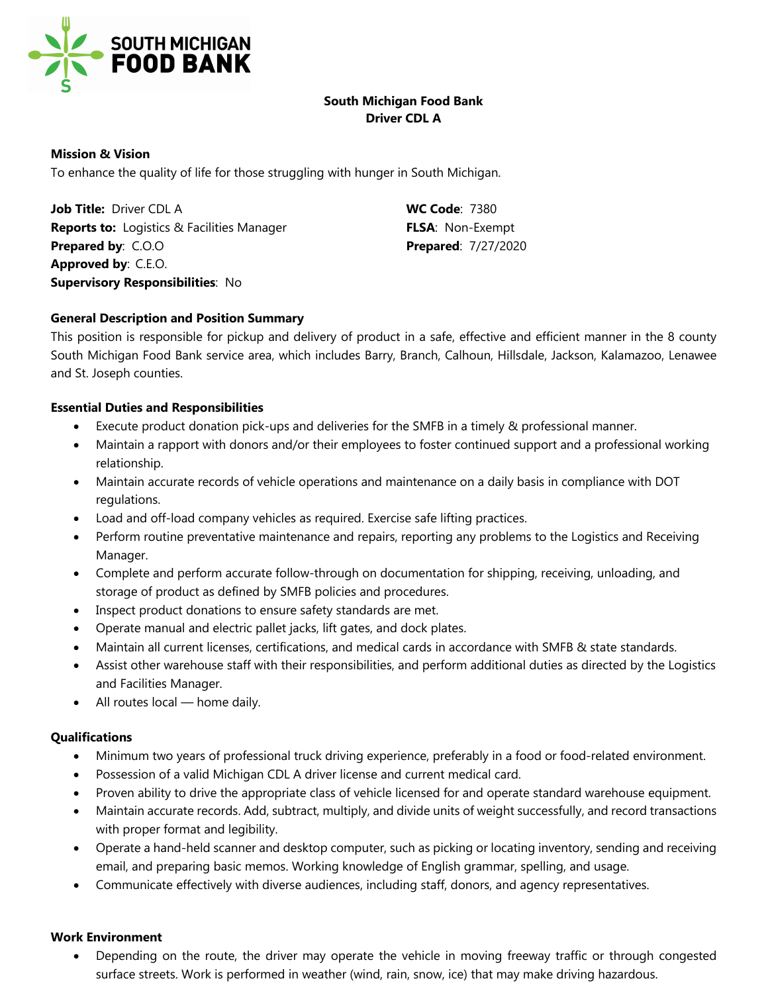

# **South Michigan Food Bank Driver CDL A**

### **Mission & Vision**

To enhance the quality of life for those struggling with hunger in South Michigan.

**Job Title:** Driver CDL A **WC Code**: 7380 **Reports to:** Logistics & Facilities Manager **FLSA**: Non-Exempt **Prepared by**: C.O.O **Prepared**: 7/27/2020 **Approved by**: C.E.O. **Supervisory Responsibilities**: No

## **General Description and Position Summary**

This position is responsible for pickup and delivery of product in a safe, effective and efficient manner in the 8 county South Michigan Food Bank service area, which includes Barry, Branch, Calhoun, Hillsdale, Jackson, Kalamazoo, Lenawee and St. Joseph counties.

### **Essential Duties and Responsibilities**

- Execute product donation pick-ups and deliveries for the SMFB in a timely & professional manner.
- Maintain a rapport with donors and/or their employees to foster continued support and a professional working relationship.
- Maintain accurate records of vehicle operations and maintenance on a daily basis in compliance with DOT regulations.
- Load and off-load company vehicles as required. Exercise safe lifting practices.
- Perform routine preventative maintenance and repairs, reporting any problems to the Logistics and Receiving Manager.
- Complete and perform accurate follow-through on documentation for shipping, receiving, unloading, and storage of product as defined by SMFB policies and procedures.
- Inspect product donations to ensure safety standards are met.
- Operate manual and electric pallet jacks, lift gates, and dock plates.
- Maintain all current licenses, certifications, and medical cards in accordance with SMFB & state standards.
- Assist other warehouse staff with their responsibilities, and perform additional duties as directed by the Logistics and Facilities Manager.
- All routes local home daily.

### **Qualifications**

- Minimum two years of professional truck driving experience, preferably in a food or food-related environment.
- Possession of a valid Michigan CDL A driver license and current medical card.
- Proven ability to drive the appropriate class of vehicle licensed for and operate standard warehouse equipment.
- Maintain accurate records. Add, subtract, multiply, and divide units of weight successfully, and record transactions with proper format and legibility.
- Operate a hand-held scanner and desktop computer, such as picking or locating inventory, sending and receiving email, and preparing basic memos. Working knowledge of English grammar, spelling, and usage.
- Communicate effectively with diverse audiences, including staff, donors, and agency representatives.

### **Work Environment**

• Depending on the route, the driver may operate the vehicle in moving freeway traffic or through congested surface streets. Work is performed in weather (wind, rain, snow, ice) that may make driving hazardous.